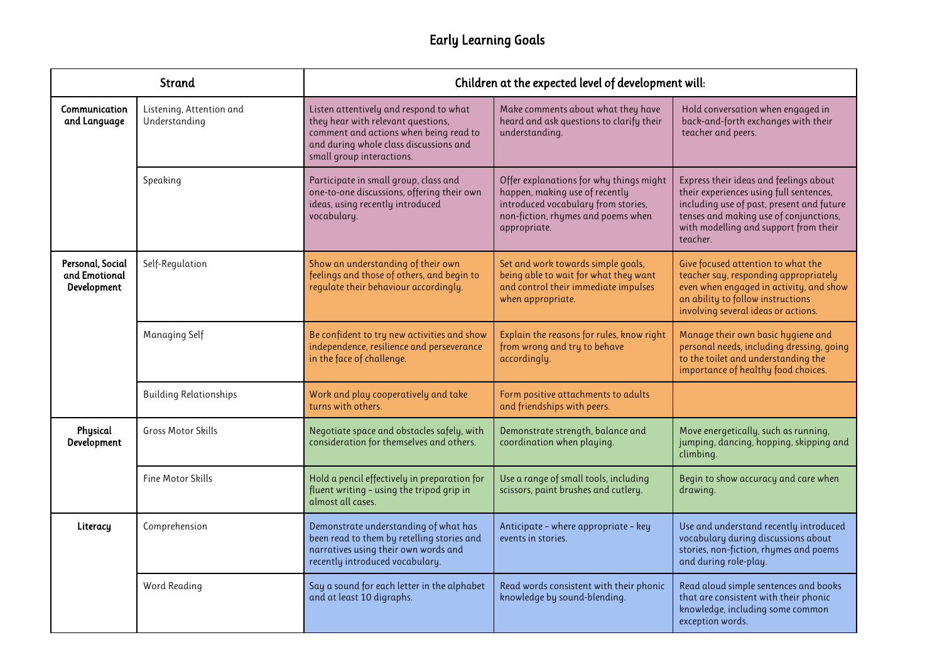| Strand                                           |                                           | Children at the expected level of development will:                                                                                                                                           |                                                                                                                                                                        |                                                                                                                                                                                                                               |
|--------------------------------------------------|-------------------------------------------|-----------------------------------------------------------------------------------------------------------------------------------------------------------------------------------------------|------------------------------------------------------------------------------------------------------------------------------------------------------------------------|-------------------------------------------------------------------------------------------------------------------------------------------------------------------------------------------------------------------------------|
| Communication<br>and Language                    | Listening, Attention and<br>Understanding | Listen attentively and respond to what<br>they hear with relevant questions,<br>comment and actions when being read to<br>and during whole class discussions and<br>small group interactions. | Make comments about what they have<br>heard and ask questions to clarify their<br>understanding.                                                                       | Hold conversation when engaged in<br>back-and-forth exchanges with their<br>teacher and peers.                                                                                                                                |
|                                                  | Speaking                                  | Participate in small group, class and<br>one-to-one discussions, offering their own<br>ideas, using recently introduced<br>vocabulary.                                                        | Offer explanations for why things might<br>happen, making use of recently<br>introduced vocabulary from stories,<br>non-fiction, rhymes and poems when<br>appropriate. | Express their ideas and feelings about<br>their experiences using full sentences,<br>including use of past, present and future<br>tenses and making use of conjunctions,<br>with modelling and support from their<br>teacher. |
| Personal, Social<br>and Emotional<br>Development | Self-Regulation                           | Show an understanding of their own<br>feelings and those of others, and begin to<br>regulate their behaviour accordingly.                                                                     | Set and work towards simple goals,<br>being able to wait for what they want<br>and control their immediate impulses<br>when appropriate.                               | Give focused attention to what the<br>teacher say, responding appropriately<br>even when engaged in activity, and show<br>an ability to follow instructions<br>involving several ideas or actions.                            |
|                                                  | <b>Managing Self</b>                      | Be confident to try new activities and show<br>independence, resilience and perseverance<br>in the face of challenge.                                                                         | Explain the reasons for rules, know right<br>from wrong and try to behave<br>accordingly.                                                                              | Manage their own basic hygiene and<br>personal needs, including dressing, going<br>to the toilet and understanding the<br>importance of healthy food choices.                                                                 |
|                                                  | <b>Building Relationships</b>             | Work and play cooperatively and take<br>turns with others.                                                                                                                                    | Form positive attachments to adults<br>and friendships with peers.                                                                                                     |                                                                                                                                                                                                                               |
| Physical<br>Development                          | <b>Gross Motor Skills</b>                 | Negotiate space and obstacles safely, with<br>consideration for themselves and others.                                                                                                        | Demonstrate strength, balance and<br>coordination when playing.                                                                                                        | Move energetically, such as running,<br>jumping, dancing, hopping, skipping and<br>climbing.                                                                                                                                  |
|                                                  | <b>Fine Motor Skills</b>                  | Hold a pencil effectively in preparation for<br>fluent writing - using the tripod grip in<br>almost all cases.                                                                                | Use a range of small tools, including<br>scissors, paint brushes and cutlery.                                                                                          | Begin to show accuracy and care when<br>drawing.                                                                                                                                                                              |
| Literacy                                         | Comprehension                             | Demonstrate understanding of what has<br>been read to them by retelling stories and<br>narratives using their own words and<br>recently introduced vocabulary.                                | Anticipate - where appropriate - key<br>events in stories.                                                                                                             | Use and understand recently introduced<br>vocabulary during discussions about<br>stories, non-fiction, rhymes and poems<br>and during role-play.                                                                              |
|                                                  | Word Reading                              | Say a sound for each letter in the alphabet<br>and at least 10 digraphs.                                                                                                                      | Read words consistent with their phonic<br>knowledge by sound-blending.                                                                                                | Read aloud simple sentences and books<br>that are consistent with their phonic<br>knowledge, including some common<br>exception words.                                                                                        |